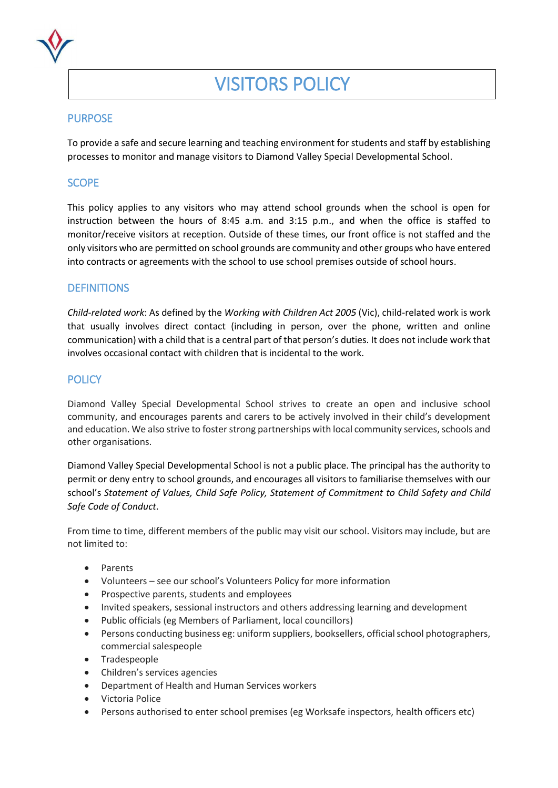

# VISITORS POLICY

## **PURPOSE**

To provide a safe and secure learning and teaching environment for students and staff by establishing processes to monitor and manage visitors to Diamond Valley Special Developmental School.

# **SCOPE**

This policy applies to any visitors who may attend school grounds when the school is open for instruction between the hours of 8:45 a.m. and 3:15 p.m., and when the office is staffed to monitor/receive visitors at reception. Outside of these times, our front office is not staffed and the only visitors who are permitted on school grounds are community and other groups who have entered into contracts or agreements with the school to use school premises outside of school hours.

## **DEFINITIONS**

*Child-related work*: As defined by the *Working with Children Act 2005* (Vic), child-related work is work that usually involves direct contact (including in person, over the phone, written and online communication) with a child that is a central part of that person's duties. It does not include work that involves occasional contact with children that is incidental to the work.

# **POLICY**

Diamond Valley Special Developmental School strives to create an open and inclusive school community, and encourages parents and carers to be actively involved in their child's development and education. We also strive to foster strong partnerships with local community services, schools and other organisations.

Diamond Valley Special Developmental School is not a public place. The principal has the authority to permit or deny entry to school grounds, and encourages all visitors to familiarise themselves with our school's *Statement of Values, Child Safe Policy, Statement of Commitment to Child Safety and Child Safe Code of Conduct*.

From time to time, different members of the public may visit our school. Visitors may include, but are not limited to:

- Parents
- Volunteers see our school's Volunteers Policy for more information
- Prospective parents, students and employees
- Invited speakers, sessional instructors and others addressing learning and development
- Public officials (eg Members of Parliament, local councillors)
- Persons conducting business eg: uniform suppliers, booksellers, official school photographers, commercial salespeople
- Tradespeople
- Children's services agencies
- Department of Health and Human Services workers
- Victoria Police
- Persons authorised to enter school premises (eg Worksafe inspectors, health officers etc)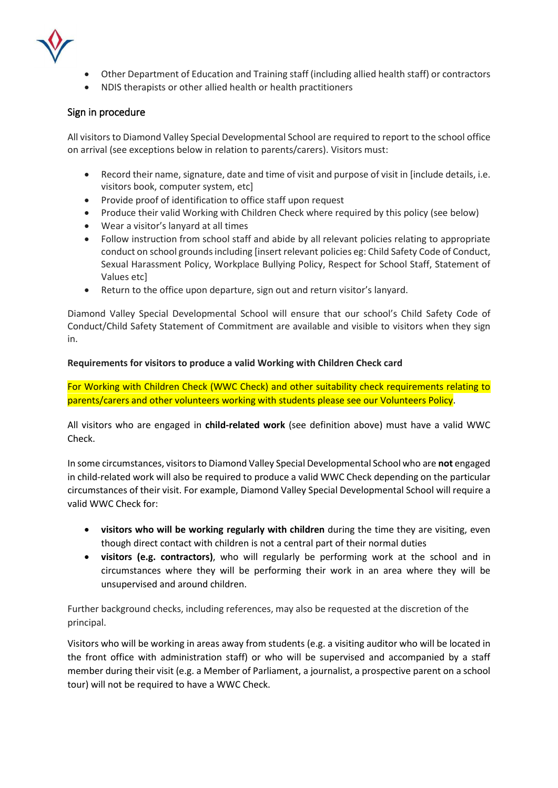

- Other Department of Education and Training staff (including allied health staff) or contractors
- NDIS therapists or other allied health or health practitioners

#### Sign in procedure

All visitors to Diamond Valley Special Developmental School are required to report to the school office on arrival (see exceptions below in relation to parents/carers). Visitors must:

- Record their name, signature, date and time of visit and purpose of visit in [include details, i.e. visitors book, computer system, etc]
- Provide proof of identification to office staff upon request
- Produce their valid Working with Children Check where required by this policy (see below)
- Wear a visitor's lanyard at all times
- Follow instruction from school staff and abide by all relevant policies relating to appropriate conduct on school grounds including [insert relevant policies eg: Child Safety Code of Conduct, Sexual Harassment Policy, Workplace Bullying Policy, Respect for School Staff, Statement of Values etc]
- Return to the office upon departure, sign out and return visitor's lanyard.

Diamond Valley Special Developmental School will ensure that our school's Child Safety Code of Conduct/Child Safety Statement of Commitment are available and visible to visitors when they sign in.

#### **Requirements for visitors to produce a valid Working with Children Check card**

For Working with Children Check (WWC Check) and other suitability check requirements relating to parents/carers and other volunteers working with students please see our Volunteers Policy.

All visitors who are engaged in **child-related work** (see definition above) must have a valid WWC Check.

In some circumstances, visitors to Diamond Valley Special Developmental School who are **not** engaged in child-related work will also be required to produce a valid WWC Check depending on the particular circumstances of their visit. For example, Diamond Valley Special Developmental School will require a valid WWC Check for:

- **visitors who will be working regularly with children** during the time they are visiting, even though direct contact with children is not a central part of their normal duties
- **visitors (e.g. contractors)**, who will regularly be performing work at the school and in circumstances where they will be performing their work in an area where they will be unsupervised and around children.

Further background checks, including references, may also be requested at the discretion of the principal.

Visitors who will be working in areas away from students (e.g. a visiting auditor who will be located in the front office with administration staff) or who will be supervised and accompanied by a staff member during their visit (e.g. a Member of Parliament, a journalist, a prospective parent on a school tour) will not be required to have a WWC Check.